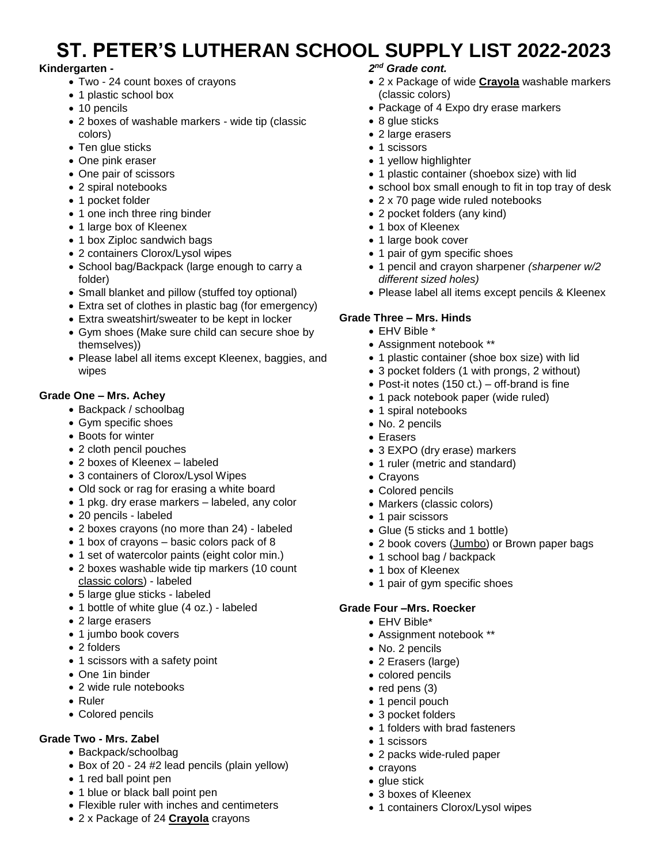# **ST. PETER'S LUTHERAN SCHOOL SUPPLY LIST 2022-2023**

### **Kindergarten -**

- Two 24 count boxes of crayons
- 1 plastic school box
- 10 pencils
- 2 boxes of washable markers wide tip (classic colors)
- Ten glue sticks
- One pink eraser
- One pair of scissors
- 2 spiral notebooks
- 1 pocket folder
- 1 one inch three ring binder
- 1 large box of Kleenex
- 1 box Ziploc sandwich bags
- 2 containers Clorox/Lysol wipes
- School bag/Backpack (large enough to carry a folder)
- Small blanket and pillow (stuffed toy optional)
- Extra set of clothes in plastic bag (for emergency)
- Extra sweatshirt/sweater to be kept in locker
- Gym shoes (Make sure child can secure shoe by themselves))
- Please label all items except Kleenex, baggies, and wipes

## **Grade One – Mrs. Achey**

- Backpack / schoolbag
- Gym specific shoes
- Boots for winter
- 2 cloth pencil pouches
- 2 boxes of Kleenex labeled
- 3 containers of Clorox/Lysol Wipes
- Old sock or rag for erasing a white board
- 1 pkg. dry erase markers labeled, any color
- 20 pencils labeled
- 2 boxes crayons (no more than 24) labeled
- 1 box of crayons basic colors pack of 8
- 1 set of watercolor paints (eight color min.)
- 2 boxes washable wide tip markers (10 count classic colors) - labeled
- 5 large glue sticks labeled
- 1 bottle of white glue (4 oz.) labeled
- 2 large erasers
- 1 jumbo book covers
- 2 folders
- 1 scissors with a safety point
- One 1in binder
- 2 wide rule notebooks
- Ruler
- Colored pencils

### **Grade Two - Mrs. Zabel**

- Backpack/schoolbag
- Box of 20 24 #2 lead pencils (plain yellow)
- 1 red ball point pen
- 1 blue or black ball point pen
- Flexible ruler with inches and centimeters
- 2 x Package of 24 **Crayola** crayons

### *2 nd Grade cont.*

- 2 x Package of wide **Crayola** washable markers (classic colors)
- Package of 4 Expo dry erase markers
- 8 glue sticks
- 2 large erasers
- 1 scissors
- 1 yellow highlighter
- 1 plastic container (shoebox size) with lid
- school box small enough to fit in top tray of desk
- 2 x 70 page wide ruled notebooks
- 2 pocket folders (any kind)
- 1 box of Kleenex
- 1 large book cover
- 1 pair of gym specific shoes
- 1 pencil and crayon sharpener *(sharpener w/2 different sized holes)*
- Please label all items except pencils & Kleenex

### **Grade Three – Mrs. Hinds**

- EHV Bible \*
- Assignment notebook \*\*
- 1 plastic container (shoe box size) with lid
- 3 pocket folders (1 with prongs, 2 without)
- Post-it notes (150 ct.) off-brand is fine
- 1 pack notebook paper (wide ruled)
- 1 spiral notebooks
- No. 2 pencils
- Erasers
- 3 EXPO (dry erase) markers
- 1 ruler (metric and standard)
- Crayons
- Colored pencils
- Markers (classic colors)
- 1 pair scissors
- Glue (5 sticks and 1 bottle)
- 2 book covers (Jumbo) or Brown paper bags
- 1 school bag / backpack
- 1 box of Kleenex
- 1 pair of gym specific shoes

#### **Grade Four –Mrs. Roecker**

- EHV Bible\*
- Assignment notebook \*\*
- No. 2 pencils
- 2 Erasers (large)
- colored pencils
- red pens (3)
- 1 pencil pouch
- 3 pocket folders
- 1 folders with brad fasteners

• 1 containers Clorox/Lysol wipes

• 2 packs wide-ruled paper

• 3 boxes of Kleenex

• 1 scissors

• crayons • glue stick